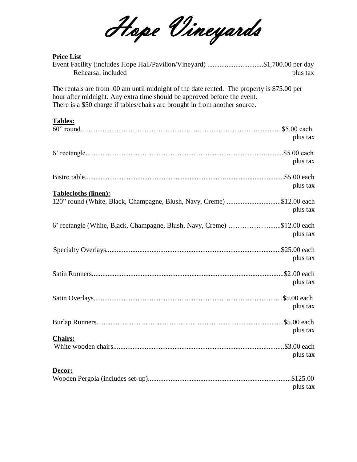Hope Vineyards

## **Price List**

| Event Facility (includes Hope Hall/Pavilion/Vineyard) \$1,700.00 per day<br>Rehearsal included                                                                                                                                                        | plus tax             |
|-------------------------------------------------------------------------------------------------------------------------------------------------------------------------------------------------------------------------------------------------------|----------------------|
| The rentals are from :00 am until midnight of the date rented. The property is \$75.00 per<br>hour after midnight. Any extra time should be approved before the event.<br>There is a \$50 charge if tables/chairs are brought in from another source. |                      |
| <b>Tables:</b>                                                                                                                                                                                                                                        | plus tax             |
|                                                                                                                                                                                                                                                       | plus tax             |
|                                                                                                                                                                                                                                                       | plus tax             |
| <b>Tablecloths (linen):</b><br>120" round (White, Black, Champagne, Blush, Navy, Creme) \$12.00 each                                                                                                                                                  | plus tax             |
| 6' rectangle (White, Black, Champagne, Blush, Navy, Creme) \$12.00 each                                                                                                                                                                               | plus tax             |
|                                                                                                                                                                                                                                                       | plus tax             |
|                                                                                                                                                                                                                                                       | plus tax             |
|                                                                                                                                                                                                                                                       | plus tax             |
|                                                                                                                                                                                                                                                       | plus tax             |
| <b>Chairs:</b>                                                                                                                                                                                                                                        | plus tax             |
| Decor:                                                                                                                                                                                                                                                | \$125.00<br>plus tax |